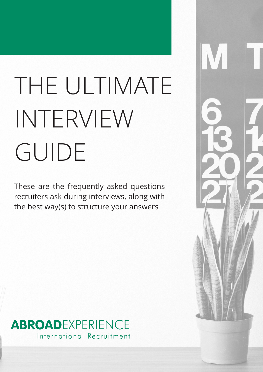# THE ULTIMATE INTERVIEW GUIDE

These are the frequently asked questions recruiters ask during interviews, along with the best way(s) to structure your answers



## ABROADEXPERIENCE International Recruitment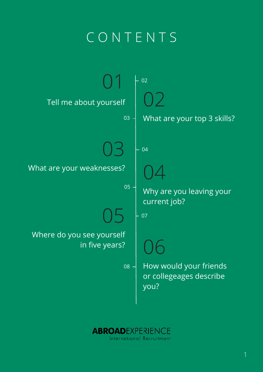

05 06 Where do you see yourself in five years? current job? How would your friends or collegeages describe you? 07 08



## CONTENT S

1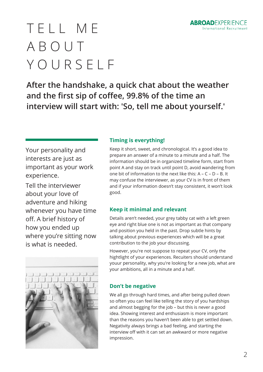

## TELL ME ABOUT YOURSELF

**After the handshake, a quick chat about the weather and the first sip of coffee, 99.8% of the time an interview will start with: 'So, tell me about yourself.'**

## **Timing is everything!**

Keep it short, sweet, and chronological. It's a good idea to prepare an answer of a minute to a minute and a half. The information should be in organized timeline form, start from point A and stay on track until point D, avoid wandering from one bit of information to the next like this:  $A - C - D - B$ . It may confuse the interviewer, as your CV is in front of them and if your information doesn't stay consistent, it won't look good.

### **Keep it minimal and relevant**

Details aren't needed, your grey tabby cat with a left green eye and right blue one is not as important as that company and position you held in the past. Drop subtle hints by talking about previous experiences which will be a great contribution to the job your discussing.

However, you're not suppose to repeat your CV, only the hightlight of your experiences. Recuiters should understand youur personality, why you're looking for a new job, what are your ambitions, all in a minute and a half.

## **Don't be negative**

We all go through hard times, and after being pulled down so often you can feel like telling the story of you hardships and almost begging for the job – but this is never a good idea. Showing interest and enthusiasm is more important than the reasons you haven't been able to get settled down. Negativity always brings a bad feeling, and starting the interview off with it can set an awkward or more negative impression.

Your personality and interests are just as important as your work experience.

Tell the interviewer about your love of

adventure and hiking whenever you have time off. A brief history of how you ended up where you're sitting now is what is needed.

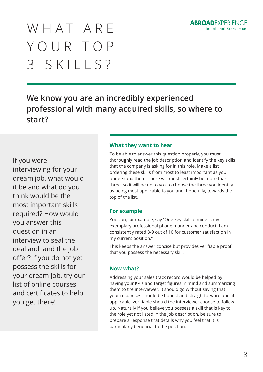

## WHAT ARE YOUR TOP 3 SKILLS?

**We know you are an incredibly experienced professional with many acquired skills, so where to start?**

### **What they want to hear**

To be able to answer this question properly, you must thoroughly read the job description and identify the key skills that the company is asking for in this role. Make a list ordering these skills from most to least important as you understand them. There will most certainly be more than three, so it will be up to you to choose the three you identify as being most applicable to you and, hopefully, towards the top of the list.

## **For example**

You can, for example, say "One key skill of mine is my exemplary professional phone manner and conduct. I am consistently rated 8-9 out of 10 for customer satisfaction in my current position."

This keeps the answer concise but provides verifiable proof that you possess the necessary skill.

## **Now what?**

Addressing your sales track record would be helped by having your KPIs and target figures in mind and summarizing them to the interviewer. It should go without saying that your responses should be honest and straightforward and, if applicable, verifiable should the interviewer choose to follow up. Naturally if you believe you possess a skill that is key to the role yet not listed in the job description, be sure to prepare a response that details why you feel that it is particularly beneficial to the position.

If you were interviewing for your dream job, what would it be and what do you think would be the

most important skills required? How would you answer this question in an interview to seal the deal and land the job offer? If you do not yet possess the skills for your dream job, try our list of online courses and certificates to help you get there!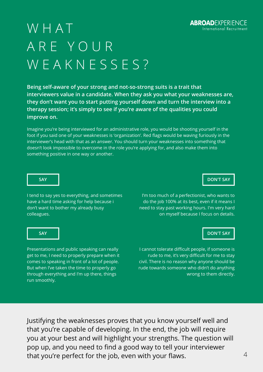

## WHAT ARE YOUR WEAKNESSES?

**Being self-aware of your strong and not-so-strong suits is a trait that interviewers value in a candidate. When they ask you what your weaknesses are, they don't want you to start putting yourself down and turn the interview into a therapy session; it's simply to see if you're aware of the qualities you could improve on.**

**SAY DON'T SAY**

I tend to say yes to everything, and sometimes

have a hard time asking for help because i don't want to bother my already busy colleagues.

I'm too much of a perfectionist, who wants to

do the job 100% at its best, even if it means I need to stay past working hours. I'm very hard on myself because I focus on details.

Presentations and public speaking can really get to me, I need to properly prepare when it comes to speaking in front of a lot of people. But when I've taken the time to properly go through everything and I'm up there, things run smoothly.

**SAY BELLEVILLE AND SAY DON'T SAY** 

I cannot tolerate difficult people, if someone is rude to me, it's very difficult for me to stay civil. There is no reason why anyone should be rude towards someone who didn't do anything wrong to them directly.

Justifying the weaknesses proves that you know yourself well and that you're capable of developing. In the end, the job will require you at your best and will highlight your strengths. The question will pop up, and you need to find a good way to tell your interviewer that you're perfect for the job, even with your flaws.

Imagine you're being interviewed for an administrative role, you would be shooting yourself in the foot if you said one of your weaknesses is 'organization'. Red flags would be waving furiously in the interviewer's head with that as an answer. You should turn your weaknesses into something that doesn't look impossible to overcome in the role you're applying for, and also make them into something positive in one way or another.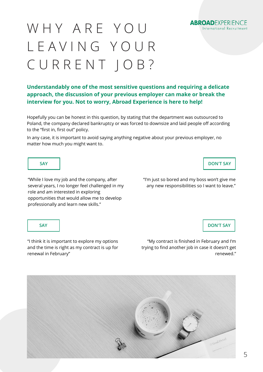

## WHY ARE YOU LEAVING YOUR CURRENT JOB?

### **SAY DON'T SAY**

"While I love my job and the company, after several years, I no longer feel challenged in my role and am interested in exploring opportunities that would allow me to develop

professionally and learn new skills."

"I'm just so bored and my boss won't give me any new responsibilities so I want to leave."

**SAY DON'T SAY**

"I think it is important to explore my options and the time is right as my contract is up for renewal in February"

"My contract is finished in February and I'm trying to find another job in case it doesn't get renewed."

**Understandably one of the most sensitive questions and requiring a delicate approach, the discussion of your previous employer can make or break the interview for you. Not to worry, Abroad Experience is here to help!**

Hopefully you can be honest in this question, by stating that the department was outsourced to Poland, the company declared bankruptcy or was forced to downsize and laid people off according to the "first in, first out" policy.

In any case, it is important to avoid saying anything negative about your previous employer, no matter how much you might want to.

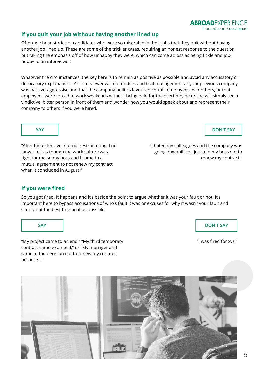

### **If you quit your job without having another lined up**

Often, we hear stories of candidates who were so miserable in their jobs that they quit without having another job lined up. These are some of the trickier cases, requiring an honest response to the question but taking the emphasis off of how unhappy they were, which can come across as being fickle and jobhoppy to an interviewer.

Whatever the circumstances, the key here is to remain as positive as possible and avoid any accusatory or derogatory explanations. An interviewer will not understand that management at your previous company was passive-aggressive and that the company politics favoured certain employees over others, or that employees were forced to work weekends without being paid for the overtime; he or she will simply see a vindictive, bitter person in front of them and wonder how you would speak about and represent their company to others if you were hired.

**SAY DON'T SAY**

"After the extensive internal restructuring, I no longer felt as though the work culture was right for me so my boss and I came to a mutual agreement to not renew my contract when it concluded in August."

"I hated my colleagues and the company was going downhill so I just told my boss not to renew my contract."

**SAY DON'T SAY**

"My project came to an end," "My third temporary contract came to an end," or "My manager and I came to the decision not to renew my contract because…"

"I was fired for xyz."



### **If you were fired**

So you got fired. It happens and it's beside the point to argue whether it was your fault or not. It's important here to bypass accusations of who's fault it was or excuses for why it wasn't your fault and simply put the best face on it as possible.

6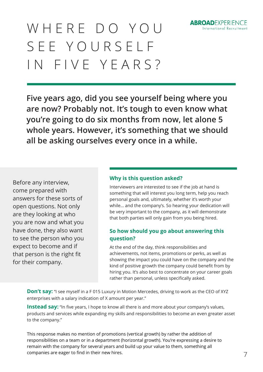

## WHERE DO YOU SEE YOURSELF IN FIVE YEARS?

7

**Five years ago, did you see yourself being where you are now? Probably not. It's tough to even know what you're going to do six months from now, let alone 5 whole years. However, it's something that we should all be asking ourselves every once in a while.**

### **Why is this question asked?**

Interviewers are interested to see if the job at hand is something that will interest you long term, help you reach personal goals and, ultimately, whether it's worth your while… and the company's. So hearing your dedication will be very important to the company, as it will demonstrate that both parties will only gain from you being hired.

## **So how should you go about answering this question?**

**Don't say:** "I see myself in a F 015 Luxury in Motion Mercedes, driving to work as the CEO of XYZ enterprises with a salary indication of X amount per year."

**Instead say:** "In five years, I hope to know all there is and more about your company's values, products and services while expanding my skills and responsibilities to become an even greater asset to the company."

At the end of the day, think responsibilities and achievements, not items, promotions or perks, as well as showing the impact you could have on the company and the kind of positive growth the company could benefit from by hiring you. It's also best to concentrate on your career goals rather than personal, unless specifically asked.

This response makes no mention of promotions (vertical growth) by rather the addition of responsibilities on a team or in a department (horizontal growth). You're expressing a desire to remain with the company for several years and build up your value to them, something all companies are eager to find in their new hires.

Before any interview, come prepared with answers for these sorts of open questions. Not only are they looking at who you are now and what you have done, they also want to see the person who you expect to become and if that person is the right fit for their company.